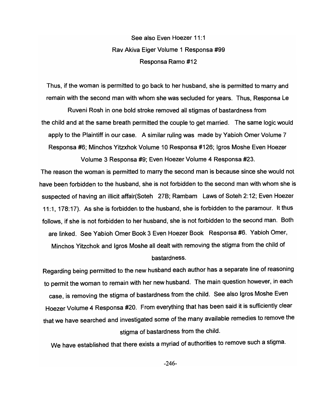See also Even Hoezer 11:1 Rav Akiva Eiger Volume 1 Responsa #99 Responsa Ramo #12

Thus, if the woman is permitted to go back to her husband, she is permitted to marry and remain with the second man with whom she was secluded for years. Thus, Responsa Le

Ruveni Rosh in one bold stroke removed all stigmas of bastardness from the child and at the same breath permitted the couple to get married. The same logic would apply to the Plaintiff in our case. A similar ruling was made by Yabioh Omer Volume 7 Responsa #6; Minchos Yitzxhok Volume 10 Responsa #126; Igros Moshe Even Hoezer

Volume 3 Responsa #9; Even Hoezer Volume 4 Responsa #23.

The reason the woman is permitted to marry the second man is because since she would not have been forbidden to the husband, she is not forbidden to the second man with whom she is suspected of having an illicit affair(Soteh 27B; Rambam Laws of Soteh 2: 12; Even Hoezer 11:1, 178:17). As she is forbidden to the husband, she is forbidden to the paramour. It thus follows, if she is not forbidden to her husband, she is not forbidden to the second man. Both are linked. See Yabioh Omer Book 3 Even Hoezer Book Responsa #6. Yabioh Omer, Minchos Yitzchok and Igros Moshe all dealt with removing the stigma from the child of bastardness.

Regarding being permitted to the new husband each author has a separate line of reasoning to permit the woman to remain with her new husband. The main question however, in each case, is removing the stigma of bastardness from the child. See also Igros Moshe Even Hoezer Volume 4 Responsa #20. From everything that has been said it is sufficiently clear that we have searched and investigated some of the many available remedies to remove the stigma of bastardness from the child.

We have established that there exists a myriad of authorities to remove such a stigma.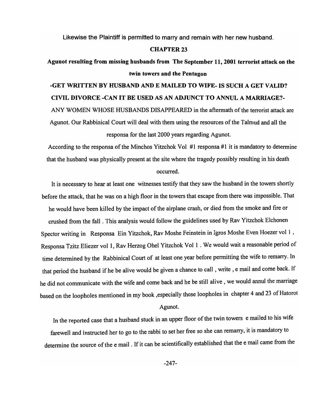Likewise the Plaintiff is permitted to marry and remain with her new husband.

### CHAPTER 23

# Agunot resulting from missing husbands from The September 11,2001 terrorist attack on the twin towers and the Pentagon

# -GET WRITTEN BY HUSBAND AND E MAILED TO WIFE- IS SUCH A GET VALID? CIVIL DIVORCE -CAN IT BE USED AS AN ADJUNCT TO ANNUL A MARRIAGE?- ANY WOMEN WHOSE HUSBANDS DISAPPEARED in the aftermath of the terrorist attack are Agunot. Our Rabbinical Court will deal with them using the resources of the Talmud and all the responsa for the last 2000 years regarding Agunot.

According to the responsa of the Minchos Yitzchok Vol  $#1$  responsa  $#1$  it is mandatory to determine that the husband was physically present at the site where the tragedy possibly resulting in his death occurred.

It is necessary to hear at least one witnesses testify that they saw the husband in the towers shortly before the attack, that he was on a high floor in the towers that escape from there was impossible. That he would have been killed by the impact of the airplane crash, or died from the smoke and fire or crushed from the fall. This analysis would follow the guidelines used by Rav Yitzchok Elchonen Spector writing in Responsa Ein Yitzchok, Rav Moshe Feinstein in Igros Moshe Even Hoezer vol 1 , Responsa Tzitz Eliezer vol 1, Rav Herzog Ohel Yitzchok Vol 1 . We would wait a reasonable period of time determined by the Rabbinical Court of at least one year before permitting the wife to remarry. In that period the husband if he be alive would be given a chance to call, write, email and come back. If he did not communicate with the wife and come back and he be still alive, we would annul the marriage based on the loopholes mentioned in my book ,especially those loopholes in chapter 4 and 23 of Hatorot

### Agunot.

In the reported case that a husband stuck in an upper floor of the twin towers e mailed to his wife farewell and instructed her to go to the rabbi to set her free so she can remarry, it is mandatory to determine the source of the email . If it can be scientifically established that the email came from the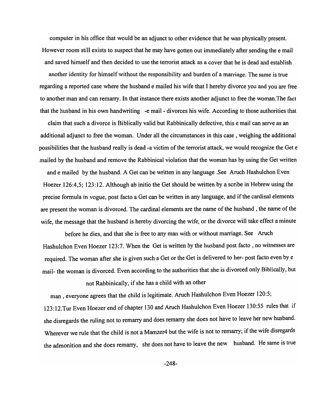computer in his office that would be an adjunct to other evidence that he was physically present. However room still exists to suspect that he may have gotten out immediately after sending the email and saved himself and then decided to use the terrorist attack as a cover that he is dead and establish another identity for himself without the responsibility and burden of a marriage. The same is true regarding a reported case where the husband e mailed his wife that I hereby divorce you and you are free to another man and can remarry. In that instance there exists another adjunct to free the woman.The fact that the husband in his own handwriting -email - divorces his wife. According to those authorities that

claim that such a divorce is Biblically valid but Rabbinically defective, this email can serve as an additional adjunct to free the woman. Under all the circumstances in this case, weighing the additional possibilities that the husband really is dead -a victim of the terrorist attack, we would recognize the Get e mailed by the husband and remove the Rabbinical violation that the woman has by using the Get written and e mailed by the husband. A Get can be written in any language .See Aruch Hashulchon Even Hoezer 126:4,5; 123:12. Although ab initio the Get should be written by a scribe in Hebrew using the precise formula in vogue, post facto a Get can be written in any language, and if the cardinal elements are present the woman is divorced. The cardinal elements are the name of the husband, the name of the wife, the message that the husband is hereby divorcing the wife, or the divorce will take effect a minute

before he dies, and that she is free to any man with or without marriage. See Aruch Hashulchon Even Hoezer 123:7. When the Get is written by the husband post facto, no witnesses are required. The woman after she is given such a Get or the Get is delivered to her- post facto even by e mail- the woman is divorced. Even according to the authorities that she is divorced only Biblically, but

not Rabbinically, if she has a child with an other

man, everyone agrees that the child is legitimate. Aruch Hashulchon Even Hoezer 120:5;

123: 12. Tur Even Hoezer end of chapter 130 and Aruch Hashulchon Even Hoezer 130:55 rules that if she disregards the ruling not to remarry and does remarry she does not have to leave her new husband. Wherever we rule that the child is not a Mamzer4 but the wife is not to remarry; if the wife disregards the admonition and she does remarry, she does not have to leave the new husband. He same is true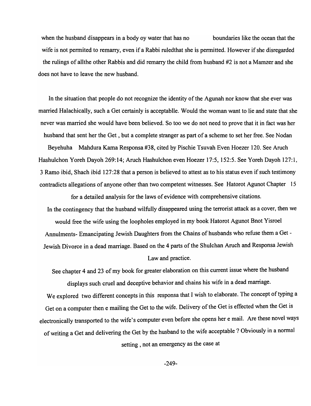when the husband disappears in a body oy water that has no boundaries like the ocean that the wife is not permited to remarry, even if a Rabbi ruledthat she is permitted. However if she disregarded the rulings of allthe other Rabbis and did remarry the child from husband #2 is not a Mamzer and she does not have to leave the new husband.

In the situation that people do not recognize the identity of the Agunah nor know that she ever was married Halachically, such a Get certainly is acceptablle. Would the woman want to lie and state that she never was married she would have been believed. So too we do not need to prove that it in fact was her husband that sent her the Get, but a complete stranger as part of a scheme to set her free. See Nodan Beyehuha Mahdura Kama Responsa #38, cited by Pischie Tsuvah Even Hoezer 120. See Aruch Hashulchon Yoreh Dayoh 269:14; Aruch Hashulchon even Hoezer 17:5, 152:5. See Yoreh Dayoh 127:1, 3 Ramo ibid, Shach ibid 127:28 that a person is believed to attest as to his status even if such testimony contradicts allegations of anyone other than two competent witnesses. See Hatorot Agunot Chapter 15

for a detailed analysis for the laws of evidence with comprehensive citations. In the contingency that the husband wilfully disappeared using the terrorist attack as a cover, then we would free the wife using the loopholes employed in my book Hatorot Agunot Bnot Yisroel Annulments- Emancipating Jewish Daughters from the Chains of husbands who refuse them a Get-Jewish Divorce in a dead marriage. Based on the 4 parts of the Shulchan Aruch and Responsa Jewish Law and practice.

See chapter 4 and 23 of my book for greater elaboration on this current issue where the husband displays such cruel and deceptive behavior and chains his wife in a dead marriage.

We explored two different concepts in this responsa that I wish to elaborate. The concept of typing a Get on a computer then e mailing the Get to the wife. Delivery of the Get is effected when the Get is electronically transported to the wife's computer even before she opens her e mail. Are these novel ways of writing a Get and delivering the Get by the husband to the wife acceptable? Obviously in a normal setting, not an emergency as the case at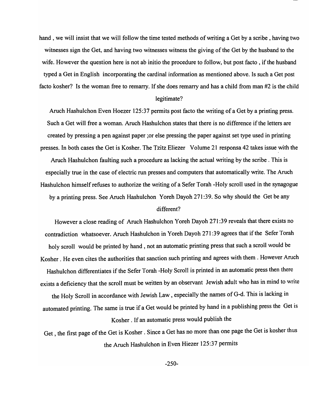hand, we will insist that we will follow the time tested methods of writing a Get by a scribe, having two witnesses sign the Get, and having two witnesses witness the giving of the Get by the husband to the wife. However the question here is not ab initio the procedure to follow, but post facto, if the husband typed a Get in English incorporating the cardinal information as mentioned above. Is such a Get post facto kosher? Is the woman free to remarry. If she does remarry and has a child from man #2 is the child

### legitimate?

Aruch Hashulchon Even Hoezer 125:37 permits post facto the writing of a Get by a printing press. Such a Get will free a woman. Aruch Hashulchon states that there is no difference if the letters are created by pressing a pen against paper ;or else pressing the paper against set type used in printing presses. In both cases the Get is Kosher. The Tzitz Eliezer Volume 21 responsa 42 takes issue with the Aruch Hashulchon faulting such a procedure as lacking the actual writing by the scribe. This is especially true in the case of electric run presses and computers that automatically write. The Aruch Hashulchon himself refuses to authorize the writing of a Sefer Torah -Holy scroll used in the synagogue by a printing press. See Aruch Hashulchon Yoreh Dayoh 271 :39. So why should the Get be any

### different?

However a close reading of Aruch Hashulchon Yoreh Dayoh 271 :39 reveals that there exists no contradiction whatsoever. Aruch Hashulchon in Yoreh Dayoh 271:39 agrees that if the Sefer Torah holy scroll would be printed by hand, not an automatic printing press that such a scroll would be Kosher. He even cites the authorities that sanction such printing and agrees with them. However Aruch Hashulchon differentiates if the Sefer Torah -Holy Scroll is printed in an automatic press then there exists a deficiency that the scroll must be written by an observant Jewish adult who has in mind to write the Holy Scroll in accordance with Jewish Law, especially the names ofG-d. This is lacking in automated printing. The same is true if a Get would be printed by hand in a publishing press the Get is Kosher. If an automatic press would publish the

Get, the first page of the Get is Kosher. Since a Get has no more than one page the Get is kosher thus the Aruch Hashulchon in Even Hiezer 125:37 permits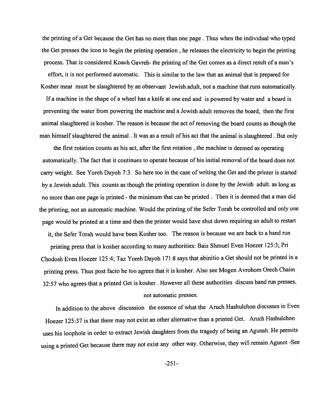the printing of a Get because the Get has no more than one page. Thus when the individual who typed the Get presses the icon to begin the printing operation, he releases the electricity to begin the printing process. That is considered Koach Gavreh- the printing of the Get comes as a direct result ofa man's

effort, it is not performed automatic. This is similar to the law that an animal that is prepared for Kosher meat must be slaughtered by an observant Jewish adult, not a machine that runs automatically.

If a machine in the shape of a wheel has a knife at one end and is powered by water and a board is preventing the water from powering the machine and a Jewish adult removes the board, then the first animal slaughtered is kosher. The reason is because the act of removing the board counts as though the man himself slaughtered the animal . It was as a result of his act that the animal is slaughtered. But only

the first rotation counts as his act, after the first rotation, the machine is deemed as operating automatically. The fact that it continues to operate because of his initial removal of the board does not carry weight. See Yoreh Dayoh 7:3. So here too in the case of writing the Get and the printer is started by a Jewish adult. This counts as though the printing operation is done by the Jewish adult. as long as no more than one page is printed - the minimum that can be printed. Then it is deemed that a man did the printing, not an automatic machine. Would the printing of the Sefer Torah be controlled and only one page would be printed at a time and then the printer would have shut down requiring an adult to restart

it, the Sefer Torah would have been Kosher too. The reason is because we are back to a hand run printing press that is kosher according to many authorities: Bais Shmuel Even Hoezer 125:3; Pri Chodosh Even Hoezer 125:4; Taz Yoreh Dayoh 171:8 says that abinitio a Get should not be printed in a printing press. Thus post facto he too agrees that it is kosher. Also see Mogen Avrohom Orech Chaim 32:57 who agrees that a printed Get is kosher. However all these authorities discuss hand run presses, not automatic presses.

In addition to the above discussion the essence of what the Aruch Hashulchon discusses in Even Hoezer 125:37 is that there may not exist an other alternative than a printed Get. Aruch Hashulchon uses his loophole in order to extract Jewish daughters from the tragedy of being an Agunah. He permits using a printed Get because there may not exist any other way. Otherwise, they will remain Agunot -See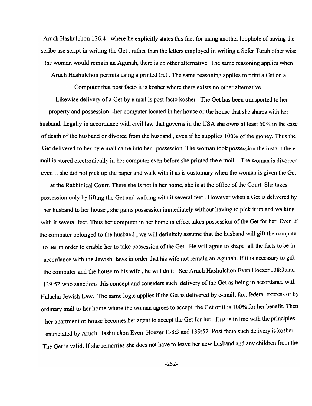Aruch Hashulchon 126:4 where he explicitly states this fact for using another loophole of having the scribe use script in writing the Get, rather than the letters employed in writing a Sefer Torah other wise the woman would remain an Agunah, there is no other alternative. The same reasoning applies when Aruch Hashulchon permits using a printed Get. The same reasoning applies to print a Get on a

Computer that post facto it is kosher where there exists no other alternative.

Likewise delivery of a Get by e mail is post facto kosher. The Get has been transported to her property and possession -her computer located in her house or the house that she shares with her husband. Legally in accordance with civil law that governs in the USA she owns at least 50% in the case of death of the husband or divorce from the husband, even ifhe supplies 100% of the money. Thus the Get delivered to her by e mail came into her possession. The woman took possession the instant the e mail is stored electronically in her computer even before she printed the e mail. The woman is divorced even if she did not pick up the paper and walk with it as is customary when the woman is given the Get

at the Rabbinical Court. There she is not in her home, she is at the office of the Court. She takes possession only by lifting the Get and walking with it several feet. However when a Get is delivered by her husband to her house, she gains possession immediately without having to pick it up and walking with it several feet. Thus her computer in her home in effect takes possession of the Get for her. Even if the computer belonged to the husband, we will definitely assume that the husband will gift the computer to her in order to enable her to take possession of the Get. He will agree to shape all the facts to be in accordance with the Jewish laws in order that his wife not remain an Agunah. If it is necessary to gift the computer and the house to his wife, he will do it. See Aruch Hashulchon Even Hoezer 138:3;and 139:52 who sanctions this concept and considers such delivery of the Get as being in accordance with Halacha-Jewish Law. The same logic applies if the Get is delivered by e-mail, fax, federal express or by ordinary mail to her home where the woman agrees to accept the Get or it is 100% for her benefit. Then her apartment or house becomes her agent to accept the Get for her. This is in line with the principles enunciated by Aruch Hashulchon Even Hoezer 138:3 and 139:52. Post facto such delivery is kosher. The Get is valid. If she remarries she does not have to leave her new husband and any children from the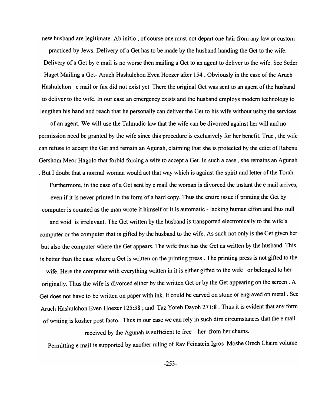new husband are legitimate. Ab initio, of course one must not depart one hair from any law or custom

practiced by Jews. Delivery of a Get has to be made by the husband handing the Get to the wife. Delivery of a Get by e mail is no worse then mailing a Get to an agent to deliver to the wife. See Seder Haget Mailing a Get- Aruch Hashulchon Even Hoezer after 154 . Obviously in the case of the Aruch Hashulchon e mail or fax did not exist yet There the original Get was sent to an agent of the husband to deliver to the wife. In our case an emergency exists and the husband employs modern technology to lengthen his hand and reach that he personally can deliver the Get to his wife without using the services

of an agent. We will use the Talmudic law that the wife can be divorced against her will and no permission need be granted by the wife since this procedure is exclusively for her benefit. True, the wife can refuse to accept the Get and remain an Agunah, claiming that she is protected by the edict of Rabenu Gershom Meor Hagolo that forbid forcing a wife to accept a Get. In such a case, she remains an Agunah . But I doubt that a normal woman would act that way which is against the spirit and letter of the Torah. Furthermore, in the case of a Get sent by e mail the woman is divorced the instant the e mail arrives,

even if it is never printed in the form of a hard copy. Thus the entire issue if printing the Get by computer is counted as the man wrote it himself or it is automatic - lacking human effort and thus null

and void is irrelevant. The Get written by the husband is transported electronically to the wife's computer or the computer that is gifted by the husband to the wife. As such not only is the Get given her but also the computer where the Get appears. The wife thus has the Get as written by the husband. This is better than the case where a Get is written on the printing press. The printing press is not gifted to the

wife. Here the computer with everything written in it is either gifted to the wife or belonged to her originally. Thus the wife is divorced either by the written Get or by the Get appearing on the screen. A Get does not have to be written on paper with ink. It could be carved on stone or engraved on metal . See Aruch Hashulchon Even Hoezer 125:38 ; and Taz Yoreh Dayoh 271:8 . Thus it is evident that any form of writing is kosher post facto. Thus in our case we can rely in such dire circumstances that the email

received by the Agunah is sufficient to free her from her chains. Permitting e mail is supported by another ruling of Rav Feinstein Igros Moshe Orech Chaim volume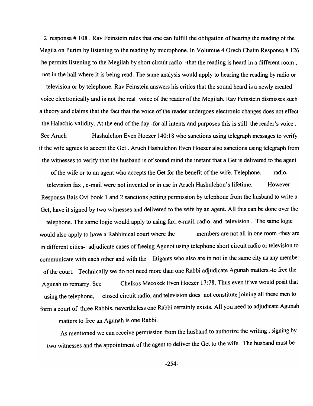2 responsa # 108 . Rav Feinstein rules that one can fulfill the obligation of hearing the reading of the Megila on Purim by listening to the reading by microphone. In Volumue 4 Orech Chaim Responsa # 126 he permits listening to the Megilah by short circuit radio -that the reading is heard in a different room, not in the hall where it is being read. The same analysis would apply to hearing the reading by radio or

television or by telephone. Rav Feinstein answers his critics that the sound heard is a newly created voice electronically and is not the real voice of the reader of the Megilah. Rav Feinstein dismisses such a theory and claims that the fact that the voice of the reader undergoes electronic changes does not effect the Halachic validity. At the end of the day -for all intents and purposes this is still the reader's voice.

See Aruch Hashulchon Even Hoezer 140:18 who sanctions using telegraph messages to verify if the wife agrees to accept the Get. Aruch Hashulchon Even Hoezer also sanctions using telegraph from the witnesses to verify that the husband is of sound mind the instant that a Get is delivered to the agent

of the wife or to an agent who accepts the Get for the benefit of the wife. Telephone, radio, television fax, e-mail were not invented or in use in Aruch Hashulchon's lifetime. However Responsa Bais Ovi book 1 and 2 sanctions getting permission by telephone from the husband to write a Get, have it signed by two witnesses and delivered to the wife by an agent. All this can be done over the telephone. The same logic would apply to using fax, e-mail, radio, and television. The same logic would also apply to have a Rabbinical court where the members are not all in one room -they are in different cities- adjudicate cases of freeing Agunot using telephone short circuit radio or television to

communicate with each other and with the litigants who also are in not in the same city as any member of the court. Technically we do not need more than one Rabbi adjudicate Agunah matters.-to free the Agunah to remarry. See Chelkos Mecokek Even Hoezer 17:78. Thus even if we would posit that using the telephone, closed circuit radio, and television does not constitute joining all these men to form a court of three Rabbis, nevertheless one Rabbi certainly exists. All you need to adjudicate Agunah

matters to free an Agunah is one Rabbi.

As mentioned we can receive permission from the husband to authorize the writing, signing by two witnesses and the appointment of the agent to deliver the Get to the wife. The husband must be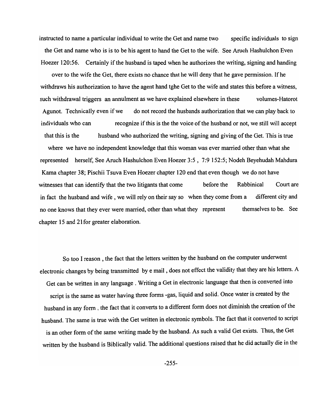instructed to name a particular individual to write the Get and name two specific individuals to sign the Get and name who is is to be his agent to hand the Get to the wife. See Aruch Hashulchon Even Hoezer 120:56. Certainly if the husband is taped when he authorizes the writing, signing and handing over to the wife the Get, there exists no chance that he will deny that he gave permission. If he

withdraws his authorization to have the agent hand tghe Get to the wife and states this before a witness, such withdrawal triggers an annulment as we have explained elsewhere in these volumes-Hatorot Agunot. Technically even if we do not record the husbands authorization that we can play back to individuals who can recognize if this is the the voice of the husband or not, we still will accept that this is the husband who authorized the writing, signing and giving of the Get. This is true where we have no independent knowledge that this woman was ever married other than what she represented herself, See Aruch Hashulchon Even Hoezer 3:5, 7:9 152:5; Nodeh Beyehudah Mahdura Kama chapter 38; Pischii Tsuva Even Hoezer chapter 120 end that even though we do not have witnesses that can identify that the two litigants that come before the Rabbinical Court are in fact the husband and wife, we will rely on their say so when they come from a different city and no one knows that they ever were married, other than what they represent chapter 15 and 21 for greater elaboration. themselves to be. See

So too I reason, the fact that the letters written by the husband on the computer underwent electronic changes by being transmitted by email , does not effect the validity that they are his letters. A Get can be written in any language. Writing a Get in electronic language that then is converted into script is the same as water having three forms -gas, liquid and solid. Once water is created by the husband in any form, the fact that it converts to a different form does not diminish the creation of the husband. The same is true with the Get written in electronic symbols. The fact that it converted to script is an other form of the same writing made by the husband. As such a valid Get exists. Thus, the Get written by the husband is Biblically valid. The additional questions raised that he did actually die in the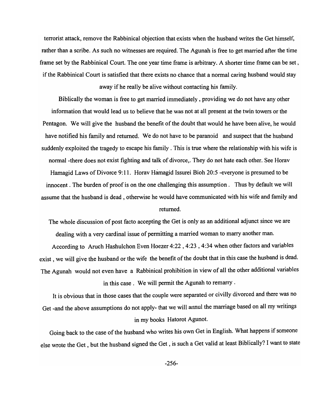terrorist attack, remove the Rabbinical objection that exists when the husband writes the Get himself, rather than a scribe. As such no witnesses are required. The Agunah is free to get married after the time frame set by the Rabbinical Court. The one year time frame is arbitrary. A shorter time frame can be set, if the Rabbinical Court is satisfied that there exists no chance that a normal caring husband would stay away if he really be alive without contacting his family.

Biblically the woman is free to get married immediately, providing we do not have any other information that would lead us to believe that he was not at all present at the twin towers or the Pentagon. We will give the husband the benefit of the doubt that would he have been alive, he would have notified his family and returned. We do not have to be paranoid and suspect that the husband suddenly exploited the tragedy to escape his family. This is true where the relationship with his wife is normal -there does not exist fighting and talk of divorce,. They do not hate each other. See Horav Hamagid Laws of Divorce 9: 11. Horav Hamagid Issurei Bioh 20:5 -everyone is presumed to be innocent. The burden of proof is on the one challenging this assumption. Thus by default we will assume that the husband is dead, otherwise he would have communicated with his wife and family and returned.

The whole discussion of post facto accepting the Get is only as an additional adjunct since we are dealing with a very cardinal issue of permitting a married woman to marry another man.

According to Aruch Hashulchon Even Hoezer 4:22, 4:23, 4:34 when other factors and variables exist, we will give the husband or the wife the benefit of the doubt that in this case the husband is dead. The Agunah would not even have a Rabbinical prohibition in view of all the other additional variables in this case. We will permit the Agunah to remarry .

It is obvious that in those cases that the couple were separated or civilly divorced and there was no Get -and the above assumptions do not apply- that we will annul the marriage based on all my writings in my books Hatorot Agunot.

Going back to the case of the husband who writes his own Get in English. What happens if someone else wrote the Get, but the husband signed the Get, is such a Get valid at least Biblically? I want to state

-256-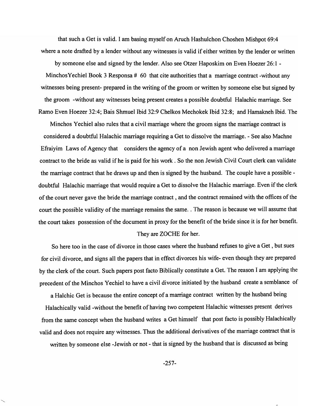that such a Get is valid. I am basing myself on Aruch Hashulchon Choshen Mishpot 69:4 where a note drafted by a lender without any witnesses is valid if either written by the lender or written by someone else and signed by the lender. Also see Otzer Haposkim on Even Hoezer 26: 1 - Minchos Yechiel Book 3 Responsa # 60 that cite authorities that a marriage contract -without any witnesses being present- prepared in the writing of the groom or written by someone else but signed by

the groom -without any witnesses being present creates a possible doubtful Halachic marriage. See Ramo Even Hoezer 32:4; Bais Shmuel Ibid 32:9 Chelkos Mechokek Ibid 32:8; and Hamakneh Ibid. The

Minchos Yechiel also rules that a civil marriage where the groom signs the marriage contract is considered a doubtful Halachic marriage requiring a Get to dissolve the marriage. - See also Machne Efraiyim Laws of Agency that considers the agency of a non Jewish agent who delivered a marriage contract to the bride as valid ifhe is paid for his work. So the non Jewish Civil Court clerk can validate the marriage contract that he draws up and then is signed by the husband. The couple have a possible doubtful Halachic marriage that would require a Get to dissolve the Halachic marriage. Even if the clerk of the court never gave the bride the marriage contract, and the contract remained with the offices of the court the possible validity of the marriage remains the same .. The reason is because we will assume that the court takes possession of the document in proxy for the benefit of the bride since it is for her benefit.

#### They are ZOCHE for her.

So here too in the case of divorce in those cases where the husband refuses to give a Get, but sues for civil divorce, and signs all the papers that in effect divorces his wife- even though they are prepared by the clerk of the court. Such papers post facto Biblically constitute a Get. The reason I am applying the precedent of the Minchos Yechiel to have a civil divorce initiated by the husband create a semblance of

a Halchic Get is because the entire concept of a marriage contract written by the husband being Halachically valid -without the benefit of having two competent Halachic witnesses present derives from the same concept when the husband writes a Get himself that post facto is possibly Halachically valid and does not require any witnesses. Thus the additional derivatives of the marriage contract that is written by someone else -Jewish or not - that is signed by the husband that is discussed as being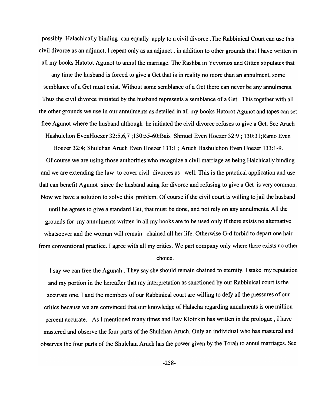possibly Halachically binding can equally apply to a civil divorce .The Rabbinical Court can use this civil divorce as an adjunct, I repeat only as an adjunct, in addition to other grounds that I have written in all my books Hatotot Agunot to annul the marriage. The Rashba in Yevomos and Gitten stipulates that

any time the husband is forced to give a Get that is in reality no more than an annulment, some semblance of a Get must exist. Without some semblance of a Get there can never be any annulments. Thus the civil divorce initiated by the husband represents a semblance of a Get. This together with all the other grounds we use in our annulments as detailed in all my books Hatorot Agunot and tapes can set free Agunot where the husband although he initiated the civil divorce refuses to give a Get. See Aruch Hashu1chon EvenHoezer 32:5,6,7 ; 130:55-60;Bais Shmuel Even Hoezer 32:9 ; 130:31 ;Ramo Even

Hoezer 32:4; Shulchan Aruch Even Hoezer 133:1 ; Aruch Hashulchon Even Hoezer 133:1-9. Of course we are using those authorities who recognize a civil marriage as being Halchically binding and we are extending the law to cover civil divorces as well. This is the practical application and use that can benefit Agunot since the husband suing for divorce and refusing to give a Get is very common. Now we have a solution to solve this problem. Of course if the civil court is willing to jail the husband until he agrees to give a standard Get, that must be done, and not rely on any annulments. All the grounds for my annulments written in all my books are to be used only if there exists no alternative whatsoever and the woman will remain chained all her life. Otherwise G-d forbid to depart one hair from conventional practice. I agree with all my critics. We part company only where there exists no other choice.

I say we can free the Agunah . They say she should remain chained to eternity. I stake my reputation and my portion in the hereafter that my interpretation as sanctioned by our Rabbinical court is the accurate one. I and the members of our Rabbinical court are willing to defy all the pressures of our critics because we are convinced that our knowledge of Halacha regarding annulments is one million percent accurate. As I mentioned many times and Rav Klotzkin has written in the prologue, I have mastered and observe the four parts of the Shulchan Aruch. Only an individual who has mastered and observes the four parts of the Shulchan Aruch has the power given by the Torah to annul marriages. See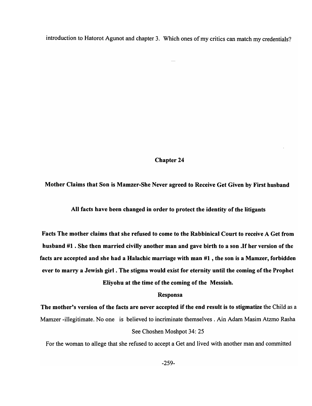introduction to Hatorot Agunot and chapter 3. Which ones of my critics can match my credentials?

Chapter 24

Mother Claims that Son is Mamzer-She Never agreed to Receive Get Given by First husband

All facts have been changed in order to protect the identity of the litigants

Facts The mother claims that she refused to come to the Rabbinical Court to receive A Get from husband #1 . She then married civilly another man and gave birth to a son .If her version of the facts are accepted and she had a Halachic marriage with man  $#1$ , the son is a Mamzer, forbidden ever to marry a Jewish girl. The stigma would exist for eternity until the coming of the Prophet Eliyohu at the time of the coming of the Messiah.

### Responsa

The mother's version of the facts are never accepted if the end result is to stigmatize the Child as a Mamzer -illegitimate. No one is believed to incriminate themselves. Ain Adam Masim Atzmo Rasha See Choshen Moshpot 34: 25

For the woman to allege that she refused to accept a Get and lived with another man and committed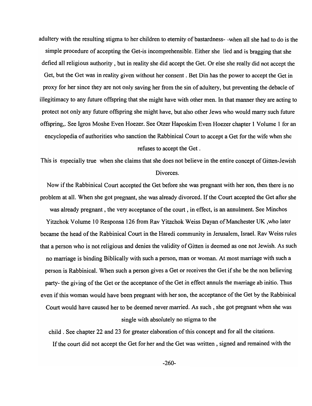adultery with the resulting stigma to her children to eternity of bastardness- -when all she had to do is the simple procedure of accepting the Get-is incomprehensible. Either she lied and is bragging that she defied all religious authority, but in reality she did accept the Get. Or else she really did not accept the Get, but the Get was in reality given without her consent. Bet Din has the power to accept the Get in proxy for her since they are not only saving her from the sin of adultery, but preventing the debacle of illegitimacy to any future offspring that she might have with other men. In that manner they are acting to protect not only any future offspring she might have, but also other Jews who would marry such future offspring,. See Igros Moshe Even Hoezer. See Otzer Haposkim Even Hoezer chapter 1 Volume 1 for an encyclopedia of authorities who sanction the Rabbinical Court to accept a Get for the wife when she refuses to accept the Get .

This is especially true when she claims that she does not believe in the entire concept of Gitten-Jewish Divorces.

Now if the Rabbinical Court accepted the Get before she was pregnant with her son, then there is no problem at all. When she got pregnant, she was already divorced. If the Court accepted the Get after she was already pregnant, the very acceptance of the court, in effect, is an annulment. See Minchos Yitzchok Volume 10 Responsa 126 from Rav Yitzchok Weiss Dayan of Manchester UK ,who later became the head of the Rabbinical Court in the Haredi community in Jerusalem, Israel. Rav Weiss rules that a person who is not religious and denies the validity of Gitten is deemed as one not Jewish. As such no marriage is binding Biblically with such a person, man or woman. At most marriage with such a person is Rabbinical. When such a person gives a Get or receives the Get if she be the non believing party- the giving of the Get or the acceptance of the Get in effect annuls the marriage ab initio. Thus even if this woman would have been pregnant with her son, the acceptance of the Get by the Rabbinical Court would have caused her to be deemed never married. As such, she got pregnant when she was single with absolutely no stigma to the

child. See chapter 22 and 23 for greater elaboration of this concept and for all the citations. If the court did not accept the Get for her and the Get was written, signed and remained with the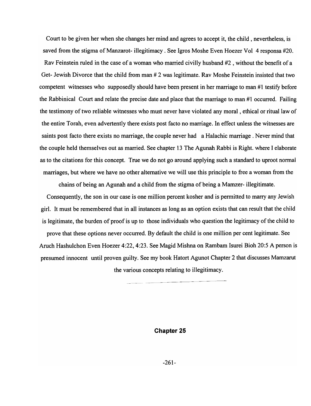Court to be given her when she changes her mind and agrees to accept it, the child, nevertheless, is saved from the stigma of Manzarot- illegitimacy. See Igros Moshe Even Hoezer Vol 4 responsa #20. Rav Feinstein ruled in the case of a woman who married civilly husband #2 , without the benefit of a Get- Jewish Divorce that the child from man # 2 was legitimate. Rav Moshe Feinstein insisted that two competent witnesses who supposedly should have been present in her marriage to man #1 testify before the Rabbinical Court and relate the precise date and place that the marriage to man #1 occurred. Failing the testimony of two reliable witnesses who must never have violated any moral, ethical or ritual law of the entire Torah, even advertently there exists post facto no marriage. In effect unless the witnesses are saints post facto there exists no marriage, the couple never had a Halachic marriage. Never mind that the couple held themselves out as married. See chapter 13 The Agunah Rabbi is Right. where I elaborate as to the citations for this concept. True we do not go around applying such a standard to uproot normal marriages, but where we have no other alternative we will use this principle to free a woman from the

chains of being an Agunah and a child from the stigma of being a Mamzer- illegitimate.

Consequently, the son in our case is one million percent kosher and is permitted to marry any Jewish girl. It must be remembered that in all instances as long as an option exists that can result that the child is legitimate, the burden of proof is up to those individuals who question the legitimacy of the child to prove that these options never occurred. By default the child is one million per cent legitimate. See Aruch Hashulchon Even Hoezer 4:22, 4:23. See Magid Mishna on Rambam Isurei Bioh 20:5 A person is presumed innocent until proven guilty. See my book Hatort Agunot Chapter 2 that discusses Mamzarut

the various concepts relating to illegitimacy.

**Chapter 25**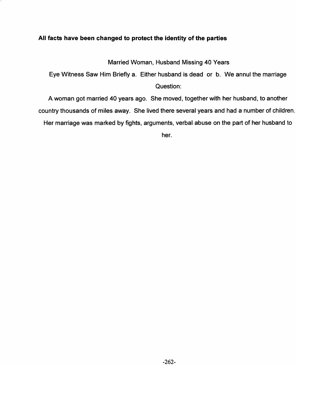# All facts have been changed to protect the identity of the parties

Married Woman, Husband Missing 40 Years

Eye Witness Saw Him Briefly a. Either husband is dead or b. We annul the marriage Question:

A woman got married 40 years ago. She moved, together with her husband, to another country thousands of miles away. She lived there several years and had a number of children. Her marriage was marked by fights, arguments, verbal abuse on the part of her husband to

her.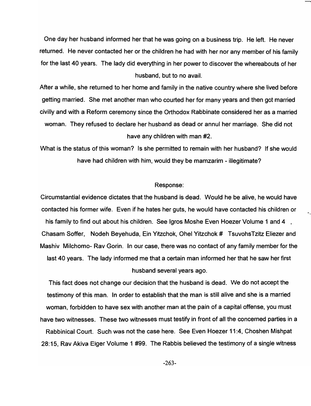One day her husband informed her that he was going on a business trip. He left. He never returned. He never contacted her or the children he had with her nor any member of his family for the last 40 years. The lady did everything in her power to discover the whereabouts of her husband, but to no avail.

After a while, she returned to her home and family in the native country where she lived before getting married. She met another man who courted her for many years and then got married civilly and with a Reform ceremony since the Orthodox Rabbinate considered her as a married woman. They refused to declare her husband as dead or annul her marriage. She did not have any children with man #2.

What is the status of this woman? Is she permitted to remain with her husband? If she would have had children with him, would they be mamzarim - illegitimate?

### Response:

Circumstantial evidence dictates that the husband is dead. Would he be alive, he would have contacted his former wife. Even if he hates her guts, he would have contacted his children or his family to find out about his children. See Igros Moshe Even Hoezer Volume 1 and 4, Chasam Soffer, Nodeh 8eyehuda, Ein Yitzchok, Ohel Yitzchok # TsuvohsTzitz Eliezer and Mashiv Milchomo- Rav Gorin. In our case, there was no contact of any family member for the last 40 years. The lady informed me that a certain man informed her that he saw her first husband several years ago.

This fact does not change our decision that the husband is dead. We do not accept the testimony of this man. In order to establish that the man is still alive and she is a married woman, forbidden to have sex with another man at the pain of a capital offense, you must have two witnesses. These two witnesses must testify in front of all the concerned parties in a Rabbinical Court. Such was not the case here. See Even Hoezer 11 :4, Choshen Mishpat 28: 15, Rav Akiva Eiger Volume 1 #99. The Rabbis believed the testimony of a single witness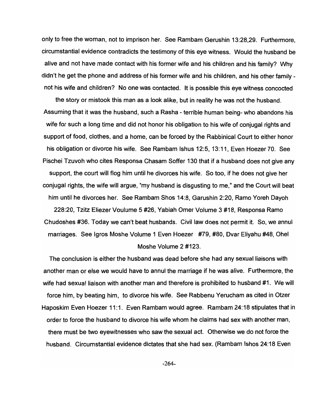only to free the woman, not to imprison her. See Rambam Gerushin 13:28,29. Furthermore, circumstantial evidence contradicts the testimony of this eye witness. Would the husband be alive and not have made contact with his former wife and his children and his family? Why didn't he get the phone and address of his former wife and his children, and his other family not his wife and children? No one was contacted. It is possible this eye witness concocted

the story or mistook this man as a look alike, but in reality he was not the husband. Assuming that it was the husband, such a Rasha - terrible human being- who abandons his wife for such a long time and did not honor his obligation to his wife of conjugal rights and support of food, clothes, and a home, can be forced by the Rabbinical Court to either honor his obligation or divorce his wife. See Rambam Ishus 12:5, 13: 11, Even Hoezer 70. See Pischei Tzuvoh who cites Responsa Chasam Soffer 130 that if a husband does not give any support, the court will flog him until he divorces his wife. So too, if he does not give her conjugal rights, the wife will argue, "my husband is disgusting to me," and the Court will beat him until he divorces her. See Rambam Shos 14:8, Garushin 2:20, Ramo Yoreh Dayoh 228:20, Tzitz Eliezer Voulume 5 #26, Yabiah Omer Volume 3 #18, Responsa Ramo Chudoshes #36. Today we can't beat husbands. Civil law does not permit it. So, we annul

# marriages. See Igros Moshe Volume 1 Even Hoezer #79, #80, Dvar Eliyahu #48, Ohel Moshe Volume 2 #123.

The conclusion is either the husband was dead before she had any sexual liaisons with another man or else we would have to annul the marriage if he was alive. Furthermore, the wife had sexual liaison with another man and therefore is prohibited to husband #1. We will force him, by beating him, to divorce his wife. See Rabbenu Yerucham as cited in Otzer Haposkim Even Hoezer 11:1. Even Rambam would agree. Rambam 24:18 stipulates that in order to force the husband to divorce his wife whom he claims had sex with another man, there must be two eyewitnesses who saw the sexual act. Otherwise we do not force the husband. Circumstantial evidence dictates that she had sex. (Rambam Ishos 24:18 Even

-264-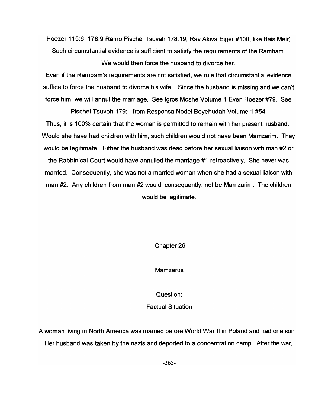Hoezer 115:6, 178:9 Ramo Pischei Tsuvah 178:19, Rav Akiva Eiger #100, like Bais Meir) Such circumstantial evidence is sufficient to satisfy the requirements of the Rambam.

We would then force the husband to divorce her.

Even if the Rambam's requirements are not satisfied, we rule that circumstantial evidence suffice to force the husband to divorce his wife. Since the husband is missing and we can't force him, we will annul the marriage. See Igros Moshe Volume 1 Even Hoezer #79. See

Pischei Tsuvoh 179: from Responsa Nodei Beyehudah Volume 1 #54.

Thus, it is 100% certain that the woman is permitted to remain with her present husband. Would she have had children with him, such children would not have been Mamzarim. They would be legitimate. Either the husband was dead before her sexual liaison with man #2 or the Rabbinical Court would have annulled the marriage #1 retroactively. She never was married. Consequently, she was not a married woman when she had a sexual liaison with man #2. Any children from man #2 would, consequently, not be Mamzarim. The children would be legitimate.

Chapter 26

Mamzarus

Question:

Factual Situation

A woman living in North America was married before World War II in Poland and had one son. Her husband was taken by the nazis and deported to a concentration camp. After the war,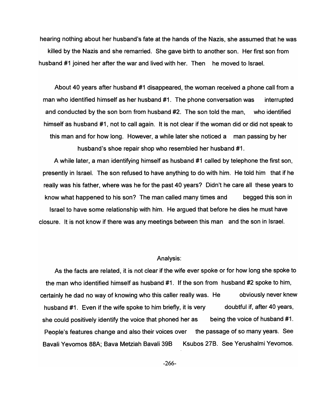hearing nothing about her husband's fate at the hands of the Nazis, she assumed that he was killed by the Nazis and she remarried. She gave birth to another son. Her first son from husband #1 joined her after the war and lived with her. Then he moved to Israel.

About 40 years after husband #1 disappeared, the woman received a phone call from a man who identified himself as her husband #1. The phone conversation was interrupted and conducted by the son born from husband #2. The son told the man, who identified himself as husband #1, not to call again. It is not clear if the woman did or did not speak to this man and for how long. However, a while later she noticed a man passing by her husband's shoe repair shop who resembled her husband #1.

A while later, a man identifying himself as husband #1 called by telephone the first son, presently in Israel. The son refused to have anything to do with him. He told him that if he really was his father, where was he for the past 40 years? Didn't he care all these years to know what happened to his son? The man called many times and begged this son in Israel to have some relationship with him. He argued that before he dies he must have closure. It is not know if there was any meetings between this man and the son in Israel.

### Analysis:

As the facts are related, it is not clear if the wife ever spoke or for how long she spoke to the man who identified himself as husband #1. If the son from husband #2 spoke to him, certainly he dad no way of knowing who this caller really was. He husband #1. Even if the wife spoke to him briefly, it is very obviously never knew doubtful if, after 40 years, she could positively identify the voice that phoned her as being the voice of husband #1. People's features change and also their voices over the passage of so many years. See Bavali Yevomos 88A; Bava Metziah Bavali 39B Ksubos 27B. See Yerushalmi Yevomos.

-266-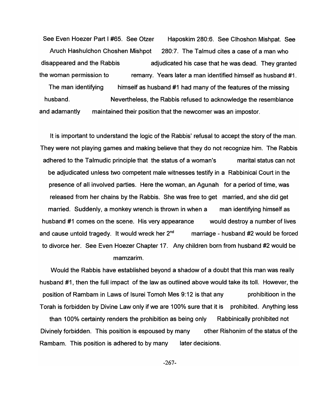See Even Hoezer Part I #65. See Otzer Haposkim 280:6. See Clhoshon Mishpat. See Aruch Hashulchon Choshen Mishpot 280:7. The Talmud cites a case of a man who disappeared and the Rabbis adjudicated his case that he was dead. They granted the woman permission to remarry. Years later a man identified himself as husband #1. The man identifying himself as husband #1 had many of the features of the missing husband. and adamantly Nevertheless, the Rabbis refused to acknowledge the resemblance maintained their position that the newcomer was an impostor.

It is important to understand the logic of the Rabbis' refusal to accept the story of the man. They were not playing games and making believe that they do not recognize him. The Rabbis adhered to the Talmudic principle that the status of a woman's marital status can not be adjudicated unless two competent male witnesses testify in a Rabbinical Court in the presence of all involved parties. Here the woman, an Agunah for a period of time, was released from her chains by the Rabbis. She was free to get married, and she did get married. Suddenly, a monkey wrench is thrown in when a man identifying himself as husband #1 comes on the scene. His very appearance would destroy a number of lives and cause untold tragedy. It would wreck her  $2^{nd}$  marriage - husband #2 would be forced to divorce her. See Even Hoezer Chapter 17. Any children born from husband #2 would be mamzarim.

Would the Rabbis have established beyond a shadow of a doubt that this man was really husband #1, then the full impact of the law as outlined above would take its toll. However, the position of Rambam in Laws of Isurei Tomoh Mes 9:12 is that any prohibitioon in the Torah is forbidden by Divine Law only if we are 100% sure that it is prohibited. Anything less than 100% certainty renders the prohibition as being only Rabbinically prohibited not Divinely forbidden. This position is espoused by many other Rishonim of the status of the Rambam. This position is adhered to by many later decisions.

-267-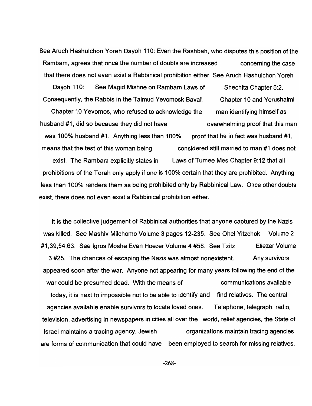See Aruch Hashulchon Yoreh Dayoh 110: Even the Rashbah, who disputes this position of the Rambam, agrees that once the number of doubts are increased concerning the case that there does not even exist a Rabbinical prohibition either. See Aruch Hashulchon Yoreh

Dayoh 110: See Magid Mishne on Rambam Laws of Shechita Chapter 5:2. Consequently, the Rabbis in the Talmud Yevomosk Bavali Chapter 10 and Yerushalmi Chapter 10 Yevomos, who refused to acknowledge the man identifying himself as husband #1, did so because they did not have overwhelming proof that this man was 100% husband #1. Anything less than 100% proof that he in fact was husband #1. means that the test of this woman being considered still married to man #1 does not exist. The Rambam explicitly states in Laws of Tumee Mes Chapter 9: 12 that all prohibitions of the Torah only apply if one is 100% certain that they are prohibited. Anything less than 100% renders them as being prohibited only by Rabbinical Law. Once other doubts exist, there does not even exist a Rabbinical prohibition either.

It is the collective judgement of Rabbinical authorities that anyone captured by the Nazis was killed. See Mashiv Milchomo Volume 3 pages 12-235. See Ohel Yitzchok Volume 2 #1,39,54,63. See Igros Moshe Even Hoezer Volume 4 #58. See Tzitz Fliezer Volume 3 #25. The chances of escaping the Nazis was almost nonexistent. Any survivors appeared soon after the war. Anyone not appearing for many years following the end of the war could be presumed dead. With the means of communications available today, it is next to impossible not to be able to identify and find relatives. The central agencies available enable survivors to locate loved ones. Telephone, telegraph, radio, television, advertising in newspapers in cities all over the world, relief agencies, the State of Israel maintains a tracing agency, Jewish organizations maintain tracing agencies are forms of communication that could have been employed to search for missing relatives.

-268-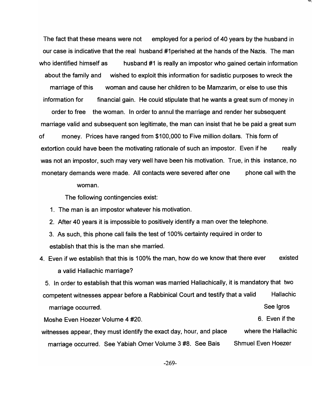The fact that these means were not employed for a period of 40 years by the husband in our case is indicative that the real husband #1 perished at the hands of the Nazis. The man who identified himself as husband #1 is really an impostor who gained certain information about the family and wished to exploit this information for sadistic purposes to wreck the marriage of this woman and cause her children to be Mamzarim, or else to use this information for financial gain. He could stipulate that he wants a great sum of money in order to free the woman. In order to annul the marriage and render her subsequent marriage valid and subsequent son legitimate, the man can insist that he be paid a great sum of money. Prices have ranged from \$100,000 to Five million dollars. This form of extortion could have been the motivating rationale of such an impostor. Even if he really was not an impostor, such may very well have been his motivation. True, in this instance, no monetary demands were made. All contacts were severed after one phone call with the

#### woman.

The following contingencies exist:

- 1. The man is an impostor whatever his motivation.
- 2. After 40 years it is impossible to positively identify a man over the telephone.
- 3. As such, this phone call fails the test of 100% certainty required in order to establish that this is the man she married.
- 4. Even if we establish that this is 100% the man, how do we know that there ever existed a valid Hallachic marriage?

5. In order to establish that this woman was married Hallachically, it is mandatory that two competent witnesses appear before a Rabbinical Court and testify that a valid Hallachic marriage occurred. Moshe Even Hoezer Volume 4 #20. witnesses appear, they must identify the exact day, hour, and place See Igros 6. Even if the where the Hallachic

marriage occurred. See Yabiah Omer Volume 3 #8. See Bais Shmuel Even Hoezer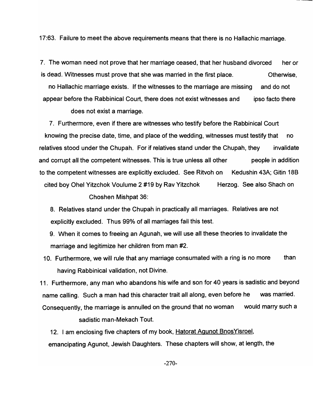17:63. Failure to meet the above requirements means that there is no Hallachic marriage.

7. The woman need not prove that her marriage ceased, that her husband divorced her or is dead. Witnesses must prove that she was married in the first place. Otherwise,

no Hallachic marriage exists. If the witnesses to the marriage are missing and do not appear before the Rabbinical Court, there does not exist witnesses and ipso facto there

does not exist a marriage.

7. Furthermore, even if there are witnesses who testify before the Rabbinical Court knowing the precise date, time, and place of the wedding, witnesses must testify that no relatives stood under the Chupah. For if relatives stand under the Chupah, they invalidate and corrupt all the competent witnesses. This is true unless all other people in addition to the competent witnesses are explicitly excluded. See Ritvoh on Kedushin 43A; Gitin 18B cited boy Ohel Yitzchok Voulume 2 #19 by Rav Yitzchok Herzog. See also Shach on

Choshen Mishpat 36:

- 8. Relatives stand under the Chupah in practically all marriages. Relatives are not explicitly excluded. Thus 99% of all marriages fail this test.
- 9. When it comes to freeing an Agunah, we will use all these theories to invalidate the marriage and legitimize her children from man #2.
- 10. Furthermore, we will rule that any marriage consumated with a ring is no more than having Rabbinical validation, not Divine.

11. Furthermore, any man who abandons his wife and son for 40 years is sadistic and beyond name calling. Such a man had this character trait all along, even before he was married. Consequently, the marriage is annulled on the ground that no woman would marry such a

sadistic man-Mekach Tout.

12. I am enclosing five chapters of my book, Hatorat Agunot Bnos Yisroel, emancipating Agunot, Jewish Daughters. These chapters will show, at length, the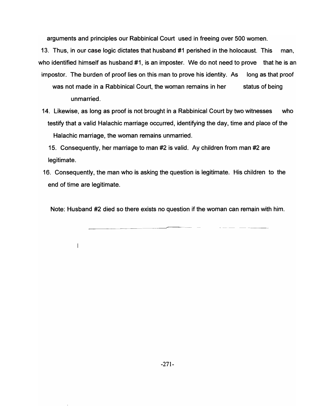arguments and principles our Rabbinical Court used in freeing over 500 women.

13. Thus, in our case logic dictates that husband #1 perished in the holocaust. This man, who identified himself as husband #1, is an imposter. We do not need to prove that he is an impostor. The burden of proof lies on this man to prove his identity. As long as that proof was not made in a Rabbinical Court, the woman remains in her status of being unmarried.

14. Likewise, as long as proof is not brought in a Rabbinical Court by two witnesses who testify that a valid Halachic marriage occurred, identifying the day, time and place of the Halachic marriage, the woman remains unmarried.

15. Consequently, her marriage to man #2 is valid. Ay children from man #2 are legitimate.

16. Consequently, the man who is asking the question is legitimate. His children to the end of time are legitimate.

Note: Husband #2 died so there exists no question if the woman can remain with him.

 $\overline{\phantom{a}}$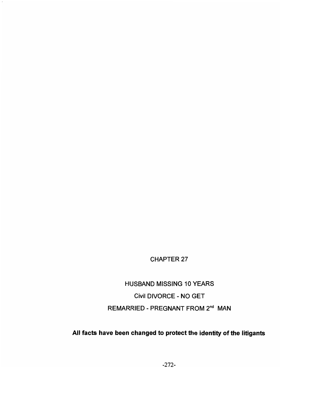# CHAPTER 27

HUSBAND MISSING 10 YEARS Civil DIVORCE - NO GET REMARRIED - PREGNANT FROM 2<sup>nd</sup> MAN

# All facts have been changed to protect the identity of the litigants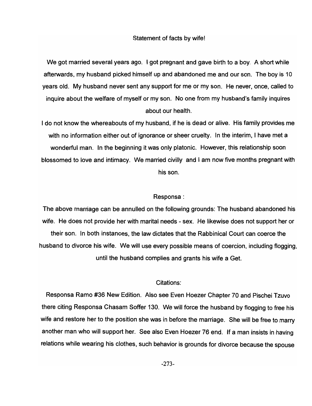### Statement of facts by wife!

We got married several years ago. I got pregnant and gave birth to a boy. A short while afterwards, my husband picked himself up and abandoned me and our son. The boy is 10 years old. My husband never sent any support for me or my son. He never, once, called to inquire about the welfare of myself or my son. No one from my husband's family inquires about our health.

I do not know the whereabouts of my husband, if he is dead or alive. His family provides me with no information either out of ignorance or sheer cruelty. In the interim, I have met a wonderful man. In the beginning it was only platonic. However, this relationship soon blossomed to love and intimacy. We married civilly and I am now five months pregnant with his son.

### Responsa:

The above marriage can be annulled on the following grounds: The husband abandoned his wife. He does not provide her with marital needs - sex. He likewise does not support her or their son. In both instances, the law dictates that the Rabbinical Court can coerce the husband to divorce his wife. We will use every possible means of coercion, including flogging, until the husband complies and grants his wife a Get.

## Citations:

Responsa Ramo #36 New Edition. Also see Even Hoezer Chapter 70 and Pischei Tzuvo there citing Responsa Chasam Soffer 130. We will force the husband by flogging to free his wife and restore her to the position she was in before the marriage. She will be free to marry another man who will support her. See also Even Hoezer 76 end. If a man insists in having relations while wearing his clothes, such behavior is grounds for divorce because the spouse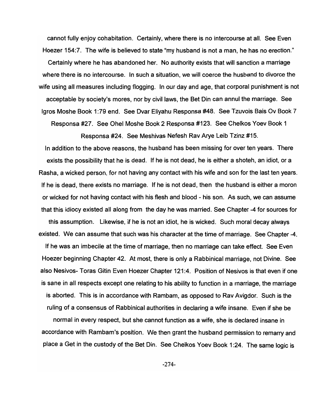cannot fully enjoy cohabitation. Certainly, where there is no intercourse at all. See Even Hoezer 154:7. The wife is believed to state "my husband is not a man, he has no erection." Certainly where he has abandoned her. No authority exists that will sanction a marriage where there is no intercourse. In such a situation, we will coerce the husband to divorce the wife using all measures including flogging. In our day and age, that corporal punishment is not acceptable by society's mores, nor by civil laws, the Bet Din can annul the marriage. See Igros Moshe Book 1 :79 end. See Dvar Eliyahu Responsa #48. See Tzuvois Bais Ov Book 7 Responsa #27. See Ohel Moshe Book 2 Responsa #123. See Chelkos Yoev Book 1

Responsa #24. See Meshivas Nefesh Rav Arye Leib Tzinz #15.

In addition to the above reasons, the husband has been missing for over ten years. There exists the possibility that he is dead. If he is not dead, he is either a shoteh, an idiot, or a Rasha, a wicked person, for not having any contact with his wife and son for the last ten years. If he is dead, there exists no marriage. If he is not dead, then the husband is either a moron or wicked for not having contact with his flesh and blood - his son. As such, we can assume that this idiocy existed all along from the day he was married. See Chapter -4 for sources for this assumption. Likewise, if he is not an idiot, he is wicked. Such moral decay always existed. We can assume that such was his character at the time of marriage. See Chapter -4. If he was an imbecile at the time of marriage, then no marriage can take effect. See Even Hoezer beginning Chapter 42. At most, there is only a Rabbinical marriage, not Divine. See also Nesivos- Taras Gitin Even Hoezer Chapter 121:4. Position of Nesivos is that even if one is sane in all respects except one relating to his ability to function in a marriage, the marriage is aborted. This is in accordance with Rambam, as opposed to Rav Avigdor. Such is the

normal in every respect, but she cannot function as a wife, she is declared insane in accordance with Rambam's position. We then grant the husband permission to remarry and place a Get in the custody of the Bet Din. See Chelkos Yoev Book 1:24. The same logic is

ruling of a consensus of Rabbinical authorities in declaring a wife insane. Even if she be

-274-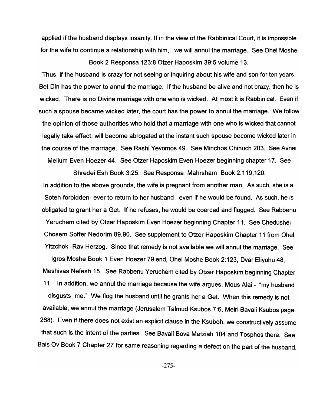applied if the husband displays insanity. If in the view of the Rabbinical Court, it is impossible for the wife to continue a relationship with him, we will annul the marriage. See Ohel Moshe

Book 2 Responsa 123:8 Otzer Haposkim 39:5 volume 13.

Thus, if the husband is crazy for not seeing or inquiring about his wife and son for ten years, Bet Din has the power to annul the marriage. If the husband be alive and not crazy, then he is wicked. There is no Divine marriage with one who is wicked. At most it is Rabbinical. Even if such a spouse became wicked later, the court has the power to annul the marriage. We follow the opinion of those authorities who hold that a marriage with one who is wicked that cannot legally take effect, will become abrogated at the instant such spouse become wicked later in the course of the marriage. See Rashi Yevomos 49. See Minchos Chinuch 203. See Avnei Melium Even Hoezer 44. See Otzer Haposkim Even Hoezer beginning chapter 17. See

Shredei Esh Book 3:25. See Responsa Mahrsham Book 2: 119, 120. In addition to the above grounds, the wife is pregnant from another man. As such, she is a Soteh-forbidden- ever to return to her husband even if he would be found. As such, he is obligated to grant her a Get. If he refuses, he would be coerced and flogged. See Rabbenu Yeruchem cited by Otzer Haposkim Even Hoezer beginning Chapter 11. See Chedushei Chosem Soffer Nedorim 89,90. See supplement to Otzer Haposkim Chapter 11 from Ohel Yitzchok -Rav Herzog. Since that remedy is not available we will annul the marriage. See

Igros Moshe Book 1 Even Hoezer 79 end, Ohel Moshe Book 2:123, Dvar Eliyohu 48, Meshivas Nefesh 15. See Rabbenu Yeruchem cited by Otzer Haposkim beginning Chapter 11. In addition, we annul the marriage because the wife argues, Mous Alai - "my husband disgusts me." We flog the husband until he grants her a Get. When this remedy is not available, we annul the marriage (Jerusalem Talmud Ksubos 7:6, Meiri Bavali Ksubos page 268). Even if there does not exist an explicit clause in the Ksuboh, we constructively assume that such is the intent of the parties. See Bavali Bova Metziah 104 and Tosphos there. See Bais Ov Book 7 Chapter 27 for same reasoning regarding a defect on the part of the husband.

-275-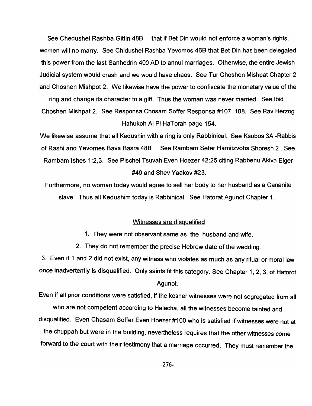See Chedushei Rashba Gittin 48B that if Bet Din would not enforce a woman's rights, women will no marry. See Chidushei Rashba Yevomos 46B that Bet Din has been delegated this power from the last Sanhedrin 400 AD to annul marriages. Otherwise, the entire Jewish judicial system would crash and we would have chaos. See Tur Choshen Mishpat Chapter 2 and Choshen Mishpot 2. We likewise have the power to confiscate the monetary value of the

ring and change its character to a gift. Thus the woman was never married. See Ibid Choshen Mishpat 2. See Responsa Chosam Soffer Responsa #107,108. See Rav Herzog Hahukoh AI Pi HaTorah page 154.

We likewise assume that all Kedushin with a ring is only Rabbinical. See Ksubos 3A -Rabbis of Rashi and Yevomes Bava Basra 48B. See Rambam Sefer Hamitzvohs Shoresh 2 . See Rambam Ishes 1:2,3. See Pischei Tsuvah Even Hoezer 42:25 citing Rabbenu Akiva Eiger #49 and Shev Yaakov #23.

Furthermore, no woman today would agree to sell her body to her husband as a Cananite slave. Thus all Kedushim today is Rabbinical. See Hatorat Agunot Chapter 1.

## Witnesses are disqualified

1. They were not observant same as the husband and wife.

2. They do not remember the precise Hebrew date of the wedding.

3. Even if 1 and 2 did not exist, any witness who violates as much as any ritual or moral law once inadvertently is disqualified. Only saints fit this category. See Chapter 1,2,3, of Hatorot

### Agunot.

Even if all prior conditions were satisfied, if the kosher witnesses were not segregated from all who are not competent according to Halacha, all the witnesses become tainted and disqualified. Even Chasam Soffer Even Hoezer #100 who is satisfied if witnesses were not at the chuppah but were in the building, nevertheless requires that the other witnesses come forward to the court with their testimony that a marriage occurred. They must remember the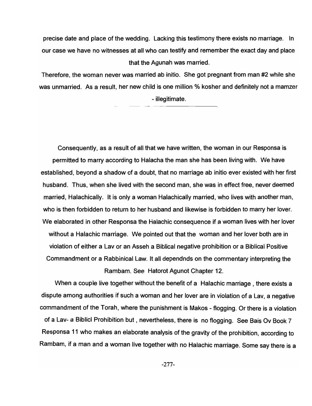precise date and place of the wedding. Lacking this testimony there exists no marriage. In our case we have no witnesses at all who can testify and remember the exact day and place that the Agunah was married.

Therefore, the woman never was married ab initio. She got pregnant from man #2 while she was unmarried. As a result, her new child is one million % kosher and definitely not a mamzer - illegitimate.

Consequently, as a result of all that we have written, the woman in our Responsa is permitted to marry according to Halacha the man she has been living with. We have established, beyond a shadow of a doubt, that no marriage ab initio ever existed with her first husband. Thus, when she lived with the second man, she was in effect free, never deemed married, Halachically. It is only a woman Halachically married, who lives with another man, who is then forbidden to return to her husband and likewise is forbidden to marry her lover. We elaborated in other Responsa the Halachic consequence if a woman lives with her lover without a Halachic marriage. We pointed out that the woman and her lover both are in violation of either a Lav or an Asseh a Biblical negative prohibition or a Biblical Positive Commandment or a Rabbinical Law. It all dependnds on the commentary interpreting the Rambam. See Hatorot Agunot Chapter 12.

When a couple live together without the benefit of a Halachic marriage, there exists a dispute among authorities if such a woman and her lover are in violation of a Lav, a negative commandment of the Torah, where the punishment is Makos - flogging. Or there is a violation of a Lav- a Biblicl Prohibition but, nevertheless, there is no flogging. See Bais Ov Book 7 Responsa 11 who makes an elaborate analysis of the gravity of the prohibition, according to Rambam, if a man and a woman live together with no Halachic marriage. Some say there is a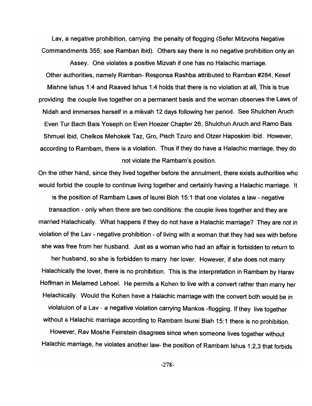Lav, a negative prohibition, carrying the penalty of flogging (Sefer Mitzvohs Negative Commandments 355; see Ramban ibid). Others say there is no negative prohibition only an

Assey. One violates a positive Mizvah if one has no Halachic marriage. Other authorities, namely Ramban- Responsa Rashba attributed to Ramban #284, Kesef Mishne Ishus 1:4 and Raaved Ishus 1:4 holds that there is no violation at all, This is true providing the couple live together on a permanent basis and the woman observes the Laws of Nidah and immerses herself in a mikvah 12 days following her period. See Shulchen Aruch Even Tur Bach Bais Yoseph on Even Hoezer Chapter 26, Shulchun Aruch and Ramo Bais Shmuel Ibid, Chelkos Mehokek Taz, Gro, Pisch Tzuro and Otzer Haposkim Ibid. However, according to Rambam, there is a violation. Thus if they do have a Halachic marriage, they do not violate the Rambam's position.

On the other hand, since they lived together before the annulment, there exists authorities who would forbid the couple to continue living together and certainly having a Halachic marriage. It is the position of Rambam Laws of Isurei Bioh 15:1 that one violates a law - negative transaction - only when there are two conditions: the couple lives together and they are married Halachically. What happens if they do not have a Halachic marriage? They are not in violation of the Lav - negative prohibition - of living with a woman that they had sex with before she was free from her husband. Just as a woman who had an affair is forbidden to return to

her husband, so she is forbidden to marry her lover. However, if she does not marry Halachically the lover, there is no prohibition. This is the interpretation in Rambam by Harav Hoffman in Melamed Lehoel. He permits a Kohen to live with a convert rather than marry her Helachically. Would the Kohen have a Halachic marriage with the convert both would be in violatuion of a Lav - a negative violation carrying Mankos -flogging. If they live together without a Halachic marriage according to Rambam Isurei Biah 15:1 there is no prohibition.

However, Rav Moshe Feinstein disagrees since when someone lives together without Halachic marriage, he violates another law- the position of Rambam Ishus 1:2,3 that forbids

-278-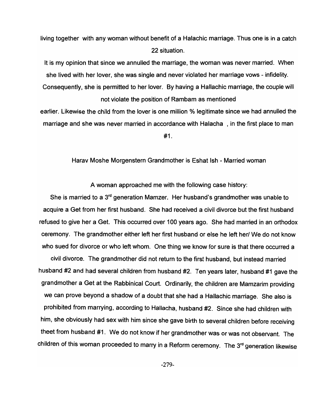living together with any woman without benefit of a Halachic marriage. Thus one is in a catch 22 situation.

It is my opinion that since we annulled the marriage, the woman was never married. When she lived with her lover, she was single and never violated her marriage vows - infidelity. Consequently, she is permitted to her lover. By having a Hallachic marriage, the couple will not violate the position of Rambam as mentioned

earlier. Likewise the child from the lover is one million *%* legitimate since we had annulled the marriage and she was never married in accordance with Halacha, in the first place to man #1.

Harav Moshe Morgenstern Grandmother is Eshat Ish - Married woman

A woman approached me with the following case history:

She is married to a 3<sup>rd</sup> generation Mamzer. Her husband's grandmother was unable to acquire a Get from her first husband. She had received a civil divorce but the first husband refused to give her a Get. This occurred over 100 years ago. She had married in an orthodox ceremony. The grandmother either left her first husband or else he left her! We do not know who sued for divorce or who left whom. One thing we know for sure is that there occurred a

civil divorce. The grandmother did not return to the first husband, but instead married husband #2 and had several children from husband #2. Ten years later, husband #1 gave the grandmother a Get at the Rabbinical Court. Ordinarily, the children are Mamzarim providing we can prove beyond a shadow of a doubt that she had a Hallachic marriage. She also is prohibited from marrying, according to Hallacha, husband #2. Since she had children with him, she obviously had sex with him since she gave birth to several children before receiving theet from husband #1. We do not know if her grandmother was or was not observant. The children of this woman proceeded to marry in a Reform ceremony. The 3<sup>rd</sup> generation likewise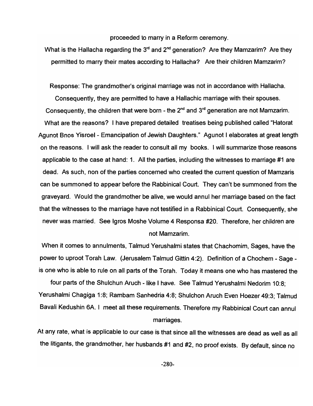proceeded to marry in a Reform ceremony.

What is the Hallacha regarding the  $3<sup>rd</sup>$  and  $2<sup>nd</sup>$  generation? Are they Mamzarim? Are they permitted to marry their mates according to Hallacha? Are their children Mamzarim?

Response: The grandmother's original marriage was not in accordance with Hallacha.

Consequently, they are permitted to have a Hallachic marriage with their spouses. Consequently, the children that were born - the  $2^{nd}$  and  $3^{rd}$  generation are not Mamzarim. What are the reasons? I have prepared detailed treatises being published called "Hatorat Agunot Bnos Yisroel - Emancipation of Jewish Daughters." Agunot I elaborates at great length on the reasons. I will ask the reader to consult all my books. I will summarize those reasons applicable to the case at hand: 1. All the parties, including the witnesses to marriage #1 are dead. As such, non of the parties concerned who created the current question of Mamzaris can be summoned to appear before the Rabbinical Court. They can't be summoned from the graveyard. Would the grandmother be alive, we would annul her marriage based on the fact that the witnesses to the marriage have not testified in a Rabbinical Court. Consequently, she never was married. See Igros Moshe Volume 4 Responsa #20. Therefore, her children are not Mamzarim.

When it comes to annulments, Talmud Yerushalmi states that Chachomim, Sages, have the power to uproot Torah Law. (Jerusalem Talmud Gittin 4:2). Definition of a Chochem - Sage is one who is able to rule on all parts of the Torah. Today it means one who has mastered the

four parts of the Shulchun Aruch - like I have. See Talmud Yerushalmi Nedorim 10:8; Yerushalmi Chagiga 1:8; Rambam Sanhedria 4:8; Shulchon Aruch Even Hoezer 49:3; Talmud Bavali Kedushin SA. I meet all these requirements. Therefore my Rabbinical Court can annul

# marriages.

At any rate, what is applicable to our case is that since all the witnesses are dead as well as all the litigants, the grandmother, her husbands #1 and #2, no proof exists. By default, since no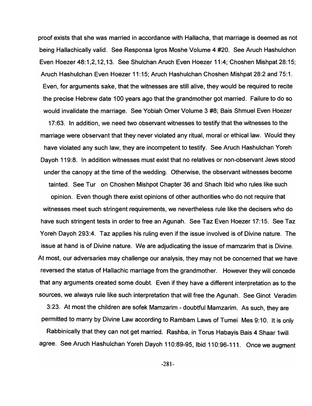proof exists that she was married in accordance with Hallacha, that marriage is deemed as not being Hallachically valid. See Responsa Igros Moshe Volume 4 #20. See Aruch Hashulchon Even Hoezer 48: 1,2, 12, 13. See Shulchan Aruch Even Hoezer 11 :4; Choshen Mishpat 28: 15; Aruch Hashulchan Even Hoezer 11:15; Aruch Hashulchan Choshen Mishpat 28:2 and 75:1. Even, for arguments sake, that the witnesses are still alive, they would be required to recite the precise Hebrew date 100 years ago that the grandmother got married. Failure to do so would invalidate the marriage. See Yobiah Omer Volume 3 #8; Bais Shmuel Even Hoezer

17:63. In addition, we need two observant witnesses to testify that the witnesses to the marriage were observant that they never violated any ritual, moral or ethical law. Would they have violated any such law, they are incompetent to testify. See Aruch Hashulchan Yoreh Dayoh 119:8. In addition witnesses must exist that no relatives or non-observant Jews stood under the canopy at the time of the wedding. Otherwise, the observant witnesses become tainted. See Tur on Choshen Mishpot Chapter 36 and Shach Ibid who rules like such opinion. Even though there exist opinions of other authorities who do not require that witnesses meet such stringent requirements, we nevertheless rule like the decisers who do have such stringent tests in order to free an Agunah. See Taz Even Hoezer 17:15. See Taz Yoreh Dayoh 293:4. Taz applies his ruling even if the issue involved is of Divine nature. The issue at hand is of Divine nature. We are adjudicating the issue of mamzarim that is Divine. At most, our adversaries may challenge our analysis, they may not be concerned that we have reversed the status of Hallachic marriage from the grandmother. However they will concede that any arguments created some doubt. Even if they have a different interpretation as to the sources, we always rule like such interpretation that will free the Agunah. See Ginot Veradim

3:23. At most the children are sofek Mamzarim - doubtful Mamzarim. As such, they are permitted to marry by Divine Law according to Rambam Laws of Tumei Mes 9:10. It is only

Rabbinically that they can not get married. Rashba, in Torus Habayis Bais 4 Shaar 1will agree. See Aruch Hashulchan Yoreh Dayoh 110:89-95, Ibid 110:96-111. Once we augment

-281-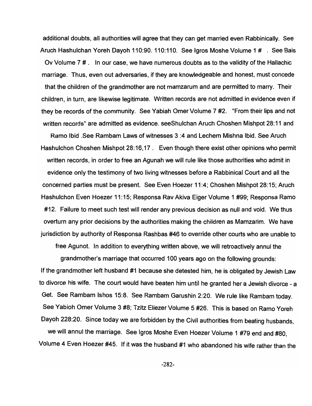additional doubts, all authorities will agree that they can get married even Rabbinically. See Aruch Hashulchan Yoreh Dayoh 110:90. 110:110. See Igros Moshe Volume 1 # . See Bais Ov Volume 7 #. In our case, we have numerous doubts as to the validity of the Hallachic marriage. Thus, even out adversaries, if they are knowledgeable and honest, must concede that the children of the grandmother are not mamzarum and are permitted to marry. Their children, in turn, are likewise legitimate. Written records are not admitted in evidence even if they be records of the community. See Yabiah Omer Volume 7 #2. "From their lips and not written records" are admitted as evidence. seeShulchan Aruch Choshen Mishpot 28: 11 and

Ramo Ibid .See Rambam Laws of witnesses 3 :4 and Lechem Mishna Ibid. See Aruch Hashulchon Choshen Mishpot 28:16,17. Even though there exist other opinions who permit written records, in order to free an Agunah we will rule like those authorities who admit in evidence only the testimony of two living witnesses before a Rabbinical Court and all the concerned parties must be present. See Even Hoezer 11 :4; Choshen Mishpot 28: 15; Aruch Hashulchon Even Hoezer 11: 15; Responsa Rav Akiva Eiger Volume 1 #99; Responsa Ramo #12. Failure to meet such test will render any previous decision as null and void. We thus overturn any prior decisions by the authorities making the children as Mamzarim. We have jurisdiction by authority of Responsa Rashbas #46 to override other courts who are unable to

free Agunot. In addition to everything written above, we will retroactively annul the

grandmother's marriage that occurred 100 years ago on the following grounds: If the grandmother left husband #1 because she detested him, he is obligated by Jewish Law to divorce his wife. The court would have beaten him until he granted her a Jewish divorce - a Get. See Rambam Ishos 15:8. See Rambam Garushin 2:20. We rule like Rambam today. See Yabioh Omer Volume 3 #8; Tzitz Eliezer Volume 5 #26. This is based on Ramo Yoreh Oayoh 228:20. Since today we are forbidden by the Civil authorities from beating husbands, we will annul the marriage. See Igros Moshe Even Hoezer Volume 1 #79 end and #80, Volume 4 Even Hoezer #45. If it was the husband #1 who abandoned his wife rather than the

-282-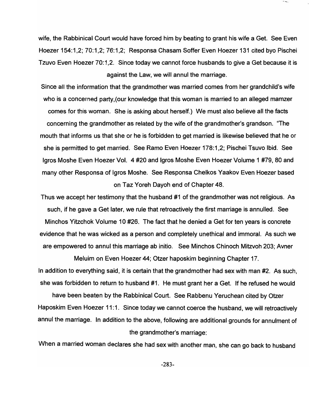wife, the Rabbinical Court would have forced him by beating to grant his wife a Get. See Even Hoezer 154: 1, 2; 70: 1, 2; 76: 1, 2; Responsa Chasam Soffer Even Hoezer 131 cited byo Pischei Tzuvo Even Hoezer 70:1,2. Since today we cannot force husbands to give a Get because it is against the Law, we will annul the marriage.

Since all the information that the grandmother was married comes from her grandchild's wife who is a concerned party,(our knowledge that this woman is married to an alleged mamzer comes for this woman. She is asking about herself.) We must also believe all the facts concerning the grandmother as related by the wife of the grandmother's grandson. "The mouth that informs us that she or he is forbidden to get married is likewise believed that he or she is permitted to get married. See Ramo Even Hoezer 178:1,2; Pischei Tsuvo Ibid. See Igros Moshe Even Hoezer Vol. 4 #20 and Igros Moshe Even Hoezer Volume 1 #79, 80 and many other Responsa of Igros Moshe. See Responsa Chelkos Yaakov Even Hoezer based on Taz Yoreh Dayoh end of Chapter 48.

Thus we accept her testimony that the husband #1 of the grandmother was not religious. As such, if he gave a Get later, we rule that retroactively the first marriage is annulled. See Minchos Yitzchok Volume 10 #26. The fact that he denied a Get for ten years is concrete evidence that he was wicked as a person and completely unethical and immoral. As such we are empowered to annul this marriage ab initio. See Minchos Chinoch Mitzvoh 203; Avner

Meluim on Even Hoezer 44; Otzer haposkim beginning Chapter 17. In addition to everything said, it is certain that the grandmother had sex with man #2. As such, she was forbidden to return to husband #1. He must grant her a Get. If he refused he would

have been beaten by the Rabbinical Court. See Rabbenu Yeruchean cited by Otzer Haposkim Even Hoezer 11:1. Since today we cannot coerce the husband, we will retroactively annul the marriage. In addition to the above, following are additional grounds for annulment of the grandmother's marriage:

When a married woman declares she had sex with another man, she can go back to husband

-283-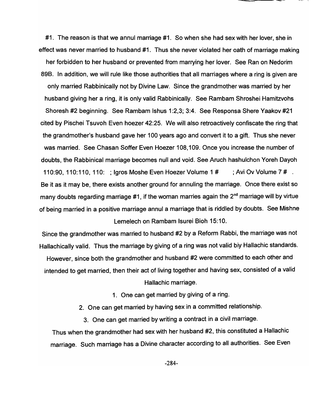#1. The reason is that we annul marriage #1. So when she had sex with her lover, she in effect was never married to husband #1. Thus she never violated her oath of marriage making her forbidden to her husband or prevented from marrying her lover. See Ran on Nedorim 89B. In addition, we will rule like those authorities that all marriages where a ring is given are only married Rabbinically not by Divine Law. Since the grandmother was married by her husband giving her a ring, it is only valid Rabbinically. See Rambam Shroshei Hamitzvohs Shoresh #2 beginning. See Rambam Ishus 1:2,3; 3:4. See Responsa Shere Yaakov #21 cited by Pischei Tsuvoh Even hoezer 42:25. We will also retroactively confiscate the ring that the grandmother's husband gave her 100 years ago and convert it to a gift. Thus she never was married. See Chasan Soffer Even Hoezer 108,109. Once you increase the number of doubts, the Rabbinical marriage becomes null and void. See Aruch hashulchon Yoreh Dayoh 110:90, 110:110, 110: ; Igros Moshe Even Hoezer Volume 1 # ; Avi Ov Volume 7 # . Be it as it may be, there exists another ground for annuling the marriage. Once there exist so many doubts regarding marriage #1, if the woman marries again the  $2<sup>nd</sup>$  marriage will by virtue of being married in a positive marriage annul a marriage that is riddled by doubts. See Mishne Lemelech on Rambam Isurei Bioh 15:10.

-~~---

Since the grandmother was married to husband #2 by a Reform Rabbi, the marriage was not Hallachically valid. Thus the marriage by giving of a ring was not valid biy Hallachic standards. However, since both the grandmother and husband #2 were committed to each other and intended to get married, then their act of living together and having sex, consisted of a valid Hallachic marriage.

1. One can get married by giving of a ring.

2. One can get married by having sex in a committed relationship.

3. One can get married by writing a contract in a civil marriage.

Thus when the grandmother had sex with her husband #2, this constituted a Hallachic marriage. Such marriage has a Divine character according to all authorities. See Even

-284-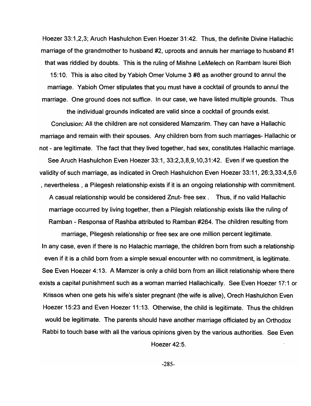Hoezer 33:1,2,3; Aruch Hashulchon Even Hoezer 31 :42. Thus, the definite Divine Hallachic marriage of the grandmother to husband #2, uproots and annuls her marriage to husband #1 that was riddled by doubts. This is the ruling of Mishne LeMelech on Rambam Isurei Bioh 15:10. This is also cited by Yabioh Omer Volume 3 #8 as another ground to annul the marriage. Yabioh Omer stipulates that you must have a cocktail of grounds to annul the marriage. One ground does not suffice. In our case, we have listed multiple grounds. Thus

the individual grounds indicated are valid since a cocktail of grounds exist.

Conclusion: All the children are not considered Mamzarim. They can have a Hallachic marriage and remain with their spouses. Any children born from such marriages- Hallachic or not - are legitimate. The fact that they lived together, had sex, constitutes Hallachic marriage. See Aruch Hashulchon Even Hoezer 33:1, 33:2,3,8,9,10,31:42. Even if we question the validity of such marriage, as indicated in Orech Hashulchon Even Hoezer 33:11,26:3,33:4,5,6 , nevertheless , a Pilegesh relationship exists if it is an ongoing relationship with commitment. A casual relationship would be considered Znut- free sex. Thus, if no valid Hallachic marriage occurred by living together, then a Pilegish relationship exists like the ruling of Ramban - Responsa of Rashba attributed to Ramban #264. The children resulting from

marriage, Pilegesh relationship or free sex are one million percent legitimate. In any case, even if there is no Halachic marriage, the children born from such a relationship even if it is a child born from a simple sexual encounter with no commitment, is legitimate. See Even Hoezer 4:13. A Mamzer is only a child born from an illicit relationship where there exists a capital punishment such as a woman married Hallachically. See Even Hoezer 17:1 or Krissos when one gets his wife's sister pregnant (the wife is alive), Orech Hashulchon Even Hoezer 15:23 and Even Hoezer 11:13. Otherwise, the child is legitimate. Thus the children would be legitimate. The parents should have another marriage officiated by an Orthodox Rabbi to touch base with all the various opinions given by the various authorities. See Even

Hoezer 42:5.

-285-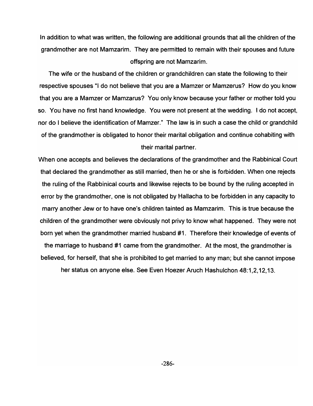In addition to what was written, the following are additional grounds that all the children of the grandmother are not Mamzarim. They are permitted to remain with their spouses and future offspring are not Mamzarim.

The wife or the husband of the children or grandchildren can state the following to their respective spouses "I do not believe that you are a Mamzer or Mamzerus? How do you know that you are a Mamzer or Mamzarus? You only know because your father or mother told you so. You have no first hand knowledge. You were not present at the wedding. I do not accept, nor do I believe the identification of Mamzer." The law is in such a case the child or grandchild of the grandmother is obligated to honor their marital obligation and continue cohabiting with their marital partner.

When one accepts and believes the declarations of the grandmother and the Rabbinical Court that declared the grandmother as still married, then he or she is forbidden. When one rejects the ruling of the Rabbinical courts and likewise rejects to be bound by the ruling accepted in error by the grandmother, one is not obligated by Hallacha to be forbidden in any capacity to marry another Jew or to have one's children tainted as Mamzarim. This is true because the children of the grandmother were obviously not privy to know what happened. They were not born yet when the grandmother married husband #1. Therefore their knowledge of events of the marriage to husband #1 came from the grandmother. At the most, the grandmother is believed, for herself, that she is prohibited to get married to any man; but she cannot impose

her status on anyone else. See Even Hoezer Aruch Hashulchon 48:1,2,12,13.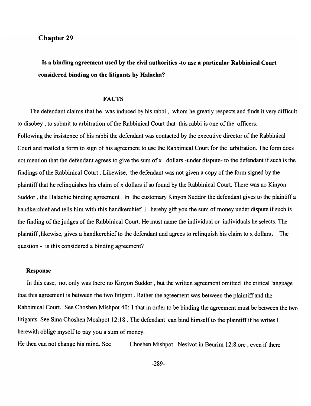# Chapter 29

Is a binding agreement used by the civil authorities -to use a particular Rabbinical Court considered binding on the litigants by Halacha?

## FACTS

The defendant claims that he was induced by his rabbi, whom he greatly respects and finds it very difficult to disobey, to submit to arbitration of the Rabbinical Court that this rabbi is one of the officers. Following the insistence of his rabbi the defendant was contacted by the executive director of the Rabbinical Court and mailed a form to sign of his agreement to use the Rabbinical Court for the arbitration. The form does not mention that the defendant agrees to give the sum of x dollars -under dispute- to the defendant if such is the findings of the Rabbinical Court. Likewise, the defendant was not given a copy of the form signed by the plaintiff that he relinquishes his claim of x dollars if so found by the Rabbinical Court. There was no Kinyon Suddor , the Halachic binding agreement. In the customary Kinyon Suddor the defendant gives to the plaintiff a handkerchief and tells him with this handkerchief I hereby gift you the sum of money under dispute if such is the finding of the judges of the Rabbinical Court. He must name the individual or individuals he selects. The plaintiff ,likewise, gives a handkerchief to the defendant and agrees to relinquish his claim to x dollars. The question - is this considered a binding agreement?

#### Response

In this case, not only was there no Kinyon Suddor, but the written agreement omitted the critical language that this agreement is between the two litigant. Rather the agreement was between the plaintiff and the Rabbinical Court. See Choshen Mishpot 40: 1 that in order to be binding the agreement must be between the two litigants. See Sma Choshen Moshpot 12:18 . The defendant can bind himself to the plaintiff if he writes I herewith oblige myself to pay you a sum of money.

He then can not change his mind. See Choshen Mishpot Nesivot in Beurim 12:8.ore, even if there

-289-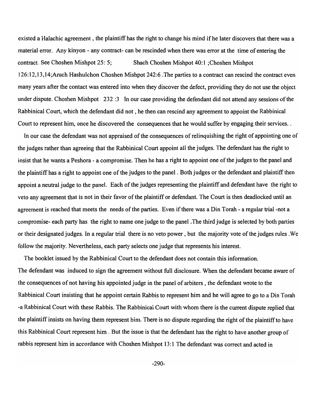existed a Halachic agreement, the plaintiff has the right to change his mind if he later discovers that there was a material error. Any kinyon - any contract- can be rescinded when there was error at the time of entering the contract. See Choshen Mishpot 25: 5; Shach Choshen Mishpot 40:1 ;Choshen Mishpot 126:12,13,14;Aruch Hashulchon Choshen Mishpot 242:6 .The parties to a contract can rescind the contract even many years after the contact was entered into when they discover the defect, providing they do not use the object under dispute. Choshen Mishpot 232:3 In our case providing the defendant did not attend any sessions of the Rabbinical Court, which the defendant did not, he then can rescind any agreement to appoint the Rabbinical Court to represent him, once he discovered the consequences that he would suffer by engaging their services ..

In our case the defendant was not appraised of the consequences of relinquishing the right of appointing one of the judges rather than agreeing that the Rabbinical Court appoint all the judges. The defendant has the right to insist that he wants a Peshora - a compromise. Then he has a right to appoint one of the judges to the panel and the plaintiff has a right to appoint one of the judges to the panel. Both judges or the defendant and plaintiff then appoint a neutral judge to the panel. Each of the judges representing the plaintiff and defendant have the right to veto any agreement that is not in their favor of the plaintiff or defendant. The Court is then deadlocked until an agreement is reached that meets the needs of the parties. Even if there was a Din Torah - a regular trial-not a compromise- each party has the right to name one judge to the panel. The third judge is selected by both parties or their designated judges. In a regular trial there is no veto power, but the majority vote of the judges rules .We follow the majority. Nevertheless, each party selects one judge that represents his interest.

The booklet issued by the Rabbinical Court to the defendant does not contain this information. The defendant was induced to sign the agreement without full disclosure. When the defendant became aware of the consequences of not having his appointed judge in the panel of arbiters, the defendant wrote to the Rabbinical Court insisting that he appoint certain Rabbis to represent him and he will agree to go to a Din Torah -a Rabbinical Court with these Rabbis. The Rabbinical Court with whom there is the current dispute replied that the plaintiff insists on having them represent him. There is no dispute regarding the right of the plaintiff to have this Rabbinical Court represent him. But the issue is that the defendant has the right to have another group of rabbis represent him in accordance with Choshen Mishpot 13:1 The defendant was correct and acted in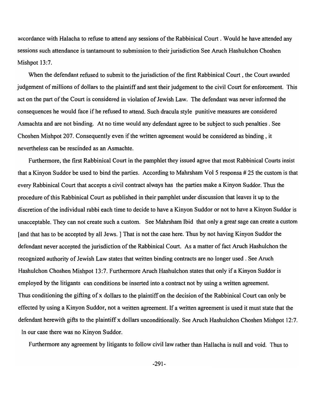accordance with Halacha to refuse to attend any sessions of the Rabbinical Court. Would he have attended any sessions such attendance is tantamount to submission to their jurisdiction See Aruch Hashulchon Choshen Mishpot 13:7.

When the defendant refused to submit to the jurisdiction of the first Rabbinical Court, the Court awarded judgement of millions of dollars to the plaintiff and sent their judgement to the civil Court for enforcement. This act on the part of the Court is considered in violation of Jewish Law. The defendant was never informed the consequences he would face if he refused to attend. Such dracula style punitive measures are considered Asmachta and are not binding. At no time would any defendant agree to be subject to such penalties. See Choshen Mishpot 207. Consequently even if the written agreement would be considered as binding, it nevertheless can be rescinded as an Asmachte.

Furthermore, the first Rabbinical Court in the pamphlet they issued agree that most Rabbinical Courts insist that a Kinyon Suddor be used to bind the parties. According to Mahrsham Vol 5 responsa # 25 the custom is that every Rabbinical Court that accepts a civil contract always has the parties make a Kinyon Suddor. Thus the procedure of this Rabbinical Court as published in their pamphlet under discussion that leaves it up to the discretion of the individual rabbi each time to decide to have a Kinyon Suddor or not to have a Kinyon Suddor is unacceptable. They can not create such a custom. See Mahrsham Ibid that only a great sage can create a custom [and that has to be accepted by all Jews. ] That is not the case here. Thus by not having Kinyon Suddor the defendant never accepted the jurisdiction of the Rabbinical Court. As a matter of fact Aruch Hashulchon the recognized authority of Jewish Law states that written binding contracts are no longer used. See Aruch Hashulchon Choshen Mishpot 13:7. Furthermore Aruch Hashulchon states that only if a Kinyon Suddor is employed by the litigants can conditions be inserted into a contract not by using a written agreement. Thus conditioning the gifting of x dollars to the plaintiff on the decision of the Rabbinical Court can only be effected by using a Kinyon Suddor, not a written agreement. If a written agreement is used it must state that the defendant herewith gifts to the plaintiff x dollars unconditionally. See Aruch Hashulchon Choshen Mishpot 12:7. In our case there was no Kinyon Suddor.

Furthermore any agreement by litigants to follow civil law rather than Hallacha is null and void. Thus to

-291-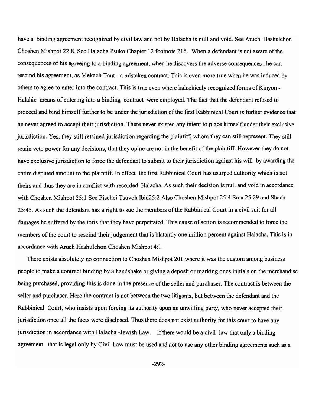have a binding agreement recognized by civil law and not by Halacha is null and void. See Aruch Hashulchon Choshen Mishpot 22:8. See Halacha Psuko Chapter 12 footnote 216. When a defendant is not aware of the consequences of his agreeing to a binding agreement, when he discovers the adverse consequences, he can rescind his agreement, as Mekach Tout - a mistaken contract. This is even more true when he was induced by others to agree to enter into the contract. This is true even where halachicaly recognized forms of Kinyon - Halahic means of entering into a binding contract were employed. The fact that the defendant refused to proceed and bind himself further to be under the jurisdiction of the first Rabbinical Court is further evidence that he never agreed to accept their jurisdiction. There never existed any intent to place himself under their exclusive jurisdiction. Yes, they still retained jurisdiction regarding the plaintiff, whom they can still represent. They still retain veto power for any decisions, that they opine are not in the benefit of the plaintiff. However they do not have exclusive jurisdiction to force the defendant to submit to their jurisdiction against his will by awarding the entire disputed amount to the plaintiff. In effect the first Rabbinical Court has usurped authority which is not theirs and thus they are in conflict with recorded Halacha. As such their decision is null and void in accordance with Choshen Mishpot 25:1 See Pischei Tsuvoh Ibid25:2 Also Choshen Mishpot 25:4 Sma 25:29 and Shach 25:45. As such the defendant has a right to sue the members of the Rabbinical Court in a civil suit for all damages he suffered by the torts that they have perpetrated. This cause of action is recommended to force the members of the court to rescind their judgement that is blatantly one million percent against Halacha. This is in accordance with Aruch Hashulchon Choshen Mishpot 4:1.

There exists absolutely no connection to Choshen Mishpot 201 where it was the custom among business people to make a contract binding by a handshake or giving a deposit or marking ones initials on the merchandise being purchased, providing this is done in the presence of the seller and purchaser. The contract is between the seller and purchaser. Here the contract is not between the two litigants, but between the defendant and the Rabbinical Court, who insists upon forcing its authority upon an unwilling party, who never accepted their jurisdiction once all the facts were disclosed. Thus there does not exist authority for this court to have any jurisdiction in accordance with Halacha -Jewish Law. If there would be a civil law that only a binding agreement that is legal only by Civil Law must be used and not to use any other binding agreements such as a

-292-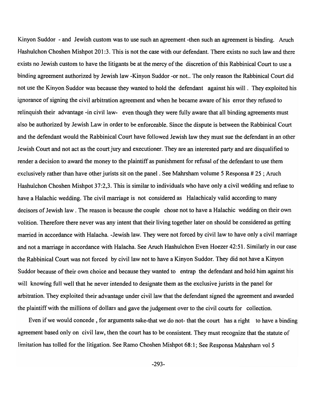Kinyon Suddor - and Jewish custom was to use such an agreement -then such an agreement is binding. Aruch Hashulchon Choshen Mishpot 201:3. This is not the case with our defendant. There exists no such law and there exists no Jewish custom to have the litigants be at the mercy of the discretion of this Rabbinical Court to use a binding agreement authorized by Jewish law -Kinyon Suddor -or not .. The only reason the Rabbinical Court did not use the Kinyon Suddor was because they wanted to hold the defendant against his will. They exploited his ignorance of signing the civil arbitration agreement and when he became aware of his error they refused to relinquish their advantage -in civil law- even though they were fully aware that all binding agreements must also be authorized by Jewish Law in order to be enforceable. Since the dispute is between the Rabbinical Court and the defendant would the Rabbinical Court have followed Jewish law they must sue the defendant in an other Jewish Court and not act as the court jury and executioner. They are an interested party and are disqualified to render a decision to award the money to the plaintiff as punishment for refusal of the defendant to use them exclusively rather than have other jurists sit on the panel. See Mahrsham volume 5 Responsa # 25 ; Aruch Hashulchon Choshen Mishpot 37:2,3. This is similar to individuals who have only a civil wedding and refuse to have a Halachic wedding. The civil marriage is not considered as Halachicaly valid according to many decisors of Jewish law . The reason is because the couple chose not to have a Halachic wedding on their own volition. Therefore there never was any intent that their living together later on should be considered as getting married in accordance with Halacha. -Jewish law. They were not forced by civil law to have only a civil marriage and not a marriage in accordance with Halacha. See Aruch Hashulchon Even Hoezer 42:51. Similarly in our case the Rabbinical Court was not forced by civil law not to have a Kinyon Suddor. They did not have a Kinyon Suddor because of their own choice and because they wanted to entrap the defendant and hold him against his will knowing full well that he never intended to designate them as the exclusive jurists in the panel for arbitration. They exploited their advantage under civil law that the defendant signed the agreement and awarded the plaintiff with the millions of dollars and gave the judgement over to the civil courts for collection.

Even if we would concede, for arguments sake-that we do not- that the court has a right to have a binding agreement based only on civil law, then the court has to be consistent. They must recognize that the statute of limitation has tolled for the litigation. See Ramo Choshen Mishpot 68:1; See Responsa Mahrsham vol 5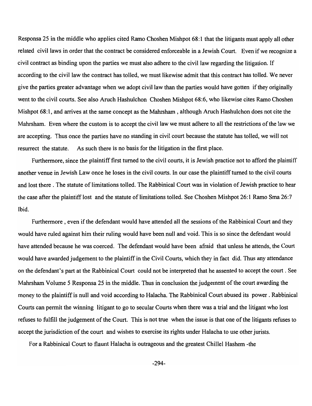Responsa 25 in the middle who applies cited Ramo Choshen Mishpot 68: 1 that the litigants must apply all other related civil laws in order that the contract be considered enforceable in a Jewish Court. Even if we recognize a civil contract as binding upon the parties we must also adhere to the civil law regarding the litigation. If according to the civil law the contract has tolled, we must likewise admit that this contract has tolled. We never give the parties greater advantage when we adopt civil law than the parties would have gotten if they originally went to the civil courts. See also Aruch Hashulchon Choshen Mishpot 68:6, who likewise cites Ramo Choshen Mishpot 68: 1, and arrives at the same concept as the Mahrsham , although Aruch Hashulchon does not cite the Mahrsham. Even where the custom is to accept the civil law we must adhere to all the restrictions of the law we are accepting. Thus once the parties have no standing in civil court because the statute has tolled, we will not resurrect the statute. As such there is no basis for the litigation in the first place.

Furthermore, since the plaintiff first turned to the civil courts, it is Jewish practice not to afford the plaintiff another venue in Jewish Law once he loses in the civil courts. In our case the plaintiff turned to the civil courts and lost there. The statute of limitations tolled. The Rabbinical Court was in violation of Jewish practice to hear the case after the plaintiff lost and the statute of limitations tolled. See Choshen Mishpot 26: 1 Ramo Sma 26:7 Ibid.

Furthermore , even if the defendant would have attended all the sessions of the Rabbinical Court and they would have ruled against him their ruling would have been null and void. This is so since the defendant would have attended because he was coerced. The defendant would have been afraid that unless he attends, the Court would have awarded judgement to the plaintiff in the Civil Courts, which they in fact did. Thus any attendance on the defendant's part at the Rabbinical Court could not be interpreted that he assented to accept the court. See Mahrsham Volume 5 Responsa 25 in the middle. Thus in conclusion the judgement of the court awarding the money to the plaintiff is null and void according to Halacha. The Rabbinical Court abused its power. Rabbinical Courts can permit the winning litigant to go to secular Courts when there was a trial and the litigant who lost refuses to fulfill the judgement of the Court. This is not true when the issue is that one of the litigants refuses to accept the jurisdiction of the court and wishes to exercise its rights under Halacha to use other jurists.

For a Rabbinical Court to flaunt Halacha is outrageous and the greatest Chillel Hashem -the

-294-